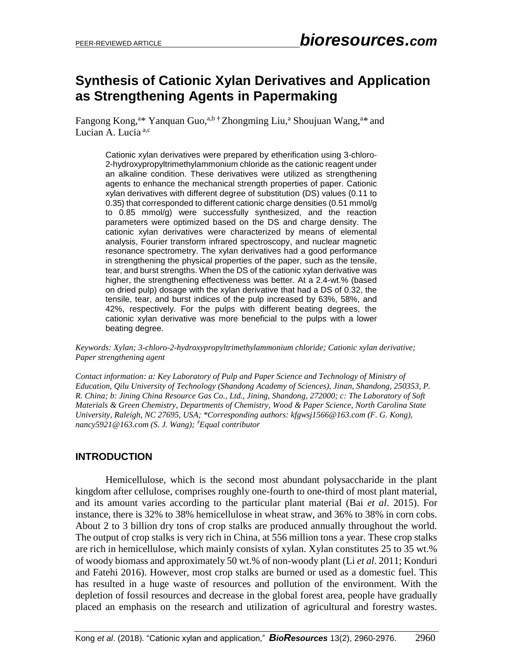# **Synthesis of Cationic Xylan Derivatives and Application as Strengthening Agents in Papermaking**

Fangong Kong,<sup>a\*</sup> Yanquan Guo,<sup>a,b†</sup> Zhongming Liu,<sup>a</sup> Shoujuan Wang,<sup>a\*</sup> and Lucian A. Lucia<sup>a,c</sup>

Cationic xylan derivatives were prepared by etherification using 3-chloro-2-hydroxypropyltrimethylammonium chloride as the cationic reagent under an alkaline condition. These derivatives were utilized as strengthening agents to enhance the mechanical strength properties of paper. Cationic xylan derivatives with different degree of substitution (DS) values (0.11 to 0.35) that corresponded to different cationic charge densities (0.51 mmol/g to 0.85 mmol/g) were successfully synthesized, and the reaction parameters were optimized based on the DS and charge density. The cationic xylan derivatives were characterized by means of elemental analysis, Fourier transform infrared spectroscopy, and nuclear magnetic resonance spectrometry. The xylan derivatives had a good performance in strengthening the physical properties of the paper, such as the tensile, tear, and burst strengths. When the DS of the cationic xylan derivative was higher, the strengthening effectiveness was better. At a 2.4-wt.% (based on dried pulp) dosage with the xylan derivative that had a DS of 0.32, the tensile, tear, and burst indices of the pulp increased by 63%, 58%, and 42%, respectively. For the pulps with different beating degrees, the cationic xylan derivative was more beneficial to the pulps with a lower beating degree.

*Keywords: Xylan; 3-chloro-2-hydroxypropyltrimethylammonium chloride; Cationic xylan derivative; Paper strengthening agent*

*Contact information: a: Key Laboratory of Pulp and Paper Science and Technology of Ministry of Education, Qilu University of Technology (Shandong Academy of Sciences), Jinan, Shandong, 250353, P. R. China; b: Jining China Resource Gas Co., Ltd., Jining, Shandong, 272000; c: The Laboratory of Soft Materials & Green Chemistry, Departments of Chemistry, Wood & Paper Science, North Carolina State University, Raleigh, NC 27695, USA; \*Corresponding authors: [kfgwsj1566@163.com](mailto:kfgwsj1566@163.com) (F. G. Kong), [nancy5921@163.com](mailto:nancy5921@163.com) (S. J. Wang); †Equal contributor*

### **INTRODUCTION**

Hemicellulose, which is the second most abundant polysaccharide in the plant kingdom after cellulose, comprises roughly one-fourth to one-third of most plant material, and its amount varies according to the particular plant material (Bai *et al*. 2015). For instance, there is 32% to 38% hemicellulose in wheat straw, and 36% to 38% in corn cobs. About 2 to 3 billion dry tons of crop stalks are produced annually throughout the world. The output of crop stalks is very rich in China, at 556 million tons a year. These crop stalks are rich in hemicellulose, which mainly consists of xylan. Xylan constitutes 25 to 35 wt.% of woody biomass and approximately 50 wt.% of non-woody plant (Li *et al*. 2011; Konduri and Fatehi 2016). However, most crop stalks are burned or used as a domestic fuel. This has resulted in a huge waste of resources and pollution of the environment. With the depletion of fossil resources and decrease in the global forest area, people have gradually placed an emphasis on the research and utilization of agricultural and forestry wastes.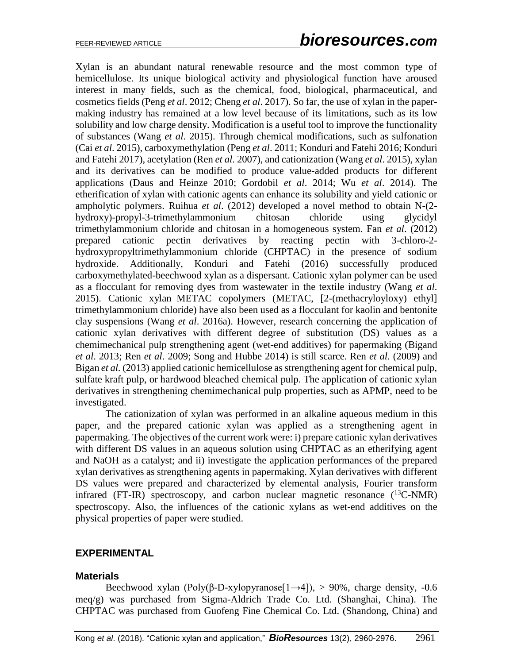Xylan is an abundant natural renewable resource and the most common type of hemicellulose. Its unique biological activity and physiological function have aroused interest in many fields, such as the chemical, food, biological, pharmaceutical, and cosmetics fields (Peng *et al*. 2012; Cheng *et al*. 2017). So far, the use of xylan in the papermaking industry has remained at a low level because of its limitations, such as its low solubility and low charge density. Modification is a useful tool to improve the functionality of substances (Wang *et al*. 2015). Through chemical modifications, such as sulfonation (Cai *et al*. 2015), carboxymethylation (Peng *et al*. 2011; Konduri and Fatehi 2016; Konduri and Fatehi 2017), acetylation (Ren *et al*. 2007), and cationization (Wang *et al*. 2015), xylan and its derivatives can be modified to produce value-added products for different applications (Daus and Heinze 2010; Gordobil *et al*. 2014; Wu *et al*. 2014). The etherification of xylan with cationic agents can enhance its solubility and yield cationic or ampholytic polymers. Ruihua *et al*. (2012) developed a novel method to obtain N-(2 hydroxy)-propyl-3-trimethylammonium chitosan chloride using glycidyl trimethylammonium chloride and chitosan in a homogeneous system. Fan *et al*. (2012) prepared cationic pectin derivatives by reacting pectin with 3-chloro-2 hydroxypropyltrimethylammonium chloride (CHPTAC) in the presence of sodium hydroxide. Additionally, Konduri and Fatehi (2016) successfully produced carboxymethylated-beechwood xylan as a dispersant. Cationic xylan polymer can be used as a flocculant for removing dyes from wastewater in the textile industry (Wang *et al*. 2015). Cationic xylan–METAC copolymers (METAC, [2-(methacryloyloxy) ethyl] trimethylammonium chloride) have also been used as a flocculant for kaolin and bentonite clay suspensions (Wang *et al*. 2016a). However, research concerning the application of cationic xylan derivatives with different degree of substitution (DS) values as a chemimechanical pulp strengthening agent (wet-end additives) for papermaking (Bigand *et al*. 2013; Ren *et al*. 2009; Song and Hubbe 2014) is still scarce. Ren *et al.* (2009) and Bigan *et al.* (2013) applied cationic hemicellulose as strengthening agent for chemical pulp, sulfate kraft pulp, or hardwood bleached chemical pulp. The application of cationic xylan derivatives in strengthening chemimechanical pulp properties, such as APMP, need to be investigated.

The cationization of xylan was performed in an alkaline aqueous medium in this paper, and the prepared cationic xylan was applied as a strengthening agent in papermaking. The objectives of the current work were: i) prepare cationic xylan derivatives with different DS values in an aqueous solution using CHPTAC as an etherifying agent and NaOH as a catalyst; and ii) investigate the application performances of the prepared xylan derivatives as strengthening agents in papermaking. Xylan derivatives with different DS values were prepared and characterized by elemental analysis, Fourier transform infrared (FT-IR) spectroscopy, and carbon nuclear magnetic resonance  $(^{13}C\text{-NMR})$ spectroscopy. Also, the influences of the cationic xylans as wet-end additives on the physical properties of paper were studied.

### **EXPERIMENTAL**

#### **Materials**

Beechwood xylan (Poly(β-D-xylopyranose[1→4]), > 90%, charge density, -0.6 meq/g) was purchased from Sigma-Aldrich Trade Co. Ltd. (Shanghai, China). The CHPTAC was purchased from Guofeng Fine Chemical Co. Ltd. (Shandong, China) and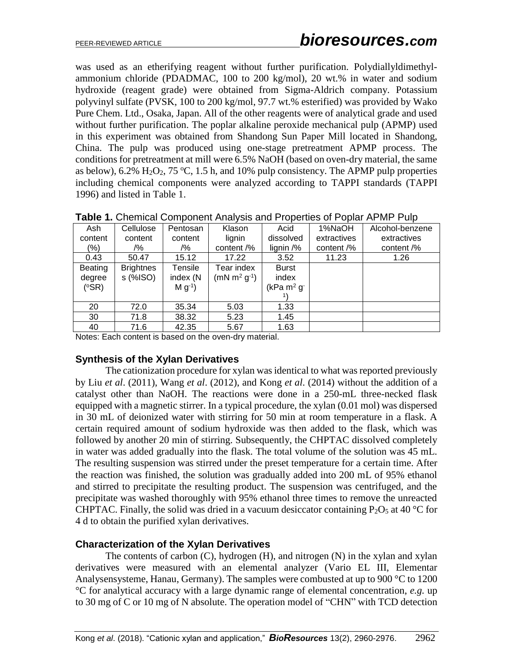was used as an etherifying reagent without further purification. Polydiallyldimethylammonium chloride (PDADMAC, 100 to 200 kg/mol), 20 wt.% in water and sodium hydroxide (reagent grade) were obtained from Sigma-Aldrich company. Potassium polyvinyl sulfate (PVSK, 100 to 200 kg/mol, 97.7 wt.% esterified) was provided by Wako Pure Chem. Ltd., Osaka, Japan. All of the other reagents were of analytical grade and used without further purification. The poplar alkaline peroxide mechanical pulp (APMP) used in this experiment was obtained from Shandong Sun Paper Mill located in Shandong, China. The pulp was produced using one-stage pretreatment APMP process. The conditions for pretreatment at mill were 6.5% NaOH (based on oven-dry material, the same as below),  $6.2\%$  H<sub>2</sub>O<sub>2</sub>,  $75\,^{\circ}$ C, 1.5 h, and 10% pulp consistency. The APMP pulp properties including chemical components were analyzed according to TAPPI standards (TAPPI 1996) and listed in Table 1.

| Ash            | Cellulose        | Pentosan              | Klason        | Acid                   | 1%NaOH      | Alcohol-benzene |
|----------------|------------------|-----------------------|---------------|------------------------|-------------|-----------------|
| content        | content          | content               | lignin        | dissolved              | extractives | extractives     |
| (%)            | /%               | /%                    | content /%    | lignin /%              | content /%  | content /%      |
| 0.43           | 50.47            | 15.12                 | 17.22         | 3.52                   | 11.23       | 1.26            |
| <b>Beating</b> | <b>Brightnes</b> | Tensile               | Tear index    | <b>Burst</b>           |             |                 |
| degree         | s (%ISO)         | index (N              | $(mN m2 g-1)$ | index                  |             |                 |
| $(^{\circ}SR)$ |                  | $M$ g <sup>-1</sup> ) |               | $(kPa \ m^2 \ g^{-1})$ |             |                 |
|                |                  |                       |               |                        |             |                 |
| 20             | 72.0             | 35.34                 | 5.03          | 1.33                   |             |                 |
| 30             | 71.8             | 38.32                 | 5.23          | 1.45                   |             |                 |
| 40             | 71.6             | 42.35                 | 5.67          | 1.63                   |             |                 |
| $\cdots$       | .                |                       |               |                        |             |                 |

**Table 1.** Chemical Component Analysis and Properties of Poplar APMP Pulp

Notes: Each content is based on the oven-dry material.

### **Synthesis of the Xylan Derivatives**

The cationization procedure for xylan was identical to what was reported previously by Liu *et al*. (2011), Wang *et al*. (2012), and Kong *et al*. (2014) without the addition of a catalyst other than NaOH. The reactions were done in a 250-mL three-necked flask equipped with a magnetic stirrer. In a typical procedure, the xylan (0.01 mol) was dispersed in 30 mL of deionized water with stirring for 50 min at room temperature in a flask. A certain required amount of sodium hydroxide was then added to the flask, which was followed by another 20 min of stirring. Subsequently, the CHPTAC dissolved completely in water was added gradually into the flask. The total volume of the solution was 45 mL. The resulting suspension was stirred under the preset temperature for a certain time. After the reaction was finished, the solution was gradually added into 200 mL of 95% ethanol and stirred to precipitate the resulting product. The suspension was centrifuged, and the precipitate was washed thoroughly with 95% ethanol three times to remove the unreacted CHPTAC. Finally, the solid was dried in a vacuum desiccator containing  $P_2O_5$  at 40 °C for 4 d to obtain the purified xylan derivatives.

### **Characterization of the Xylan Derivatives**

The contents of carbon (C), hydrogen (H), and nitrogen (N) in the xylan and xylan derivatives were measured with an elemental analyzer (Vario EL III, Elementar Analysensysteme, Hanau, Germany). The samples were combusted at up to 900 °C to 1200 °C for analytical accuracy with a large dynamic range of elemental concentration, *e.g.* up to 30 mg of C or 10 mg of N absolute. The operation model of "CHN" with TCD detection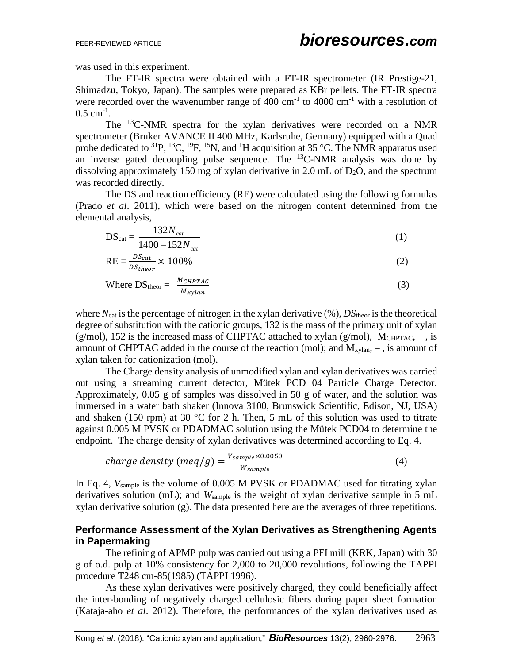was used in this experiment.

The FT-IR spectra were obtained with a FT-IR spectrometer (IR Prestige-21, Shimadzu, Tokyo, Japan). The samples were prepared as KBr pellets. The FT-IR spectra were recorded over the wavenumber range of 400 cm<sup>-1</sup> to 4000 cm<sup>-1</sup> with a resolution of  $0.5$  cm<sup>-1</sup>.

The <sup>13</sup>C-NMR spectra for the xylan derivatives were recorded on a NMR spectrometer (Bruker AVANCE II 400 MHz, Karlsruhe, Germany) equipped with a Quad probe dedicated to  ${}^{31}P$ ,  ${}^{13}C$ ,  ${}^{19}F$ ,  ${}^{15}N$ , and  ${}^{1}H$  acquisition at 35 °C. The NMR apparatus used an inverse gated decoupling pulse sequence. The  $^{13}$ C-NMR analysis was done by dissolving approximately 150 mg of xylan derivative in 2.0 mL of  $D_2O$ , and the spectrum was recorded directly.

The DS and reaction efficiency (RE) were calculated using the following formulas (Prado *et al*. 2011), which were based on the nitrogen content determined from the elemental analysis,

$$
DS_{cat} = \frac{132N_{cat}}{1400 - 152N_{cat}} \tag{1}
$$

$$
RE = \frac{DS_{cat}}{DS_{theor}} \times 100\%
$$
 (2)

Where DS<sub>theor</sub> = 
$$
\frac{M_{CHPTAC}}{M_{xylan}}
$$
 (3)

where  $N_{\text{cat}}$  is the percentage of nitrogen in the xylan derivative  $(\%)$ ,  $DS_{\text{theor}}$  is the theoretical degree of substitution with the cationic groups, 132 is the mass of the primary unit of xylan (g/mol), 152 is the increased mass of CHPTAC attached to xylan (g/mol), MCHPTAC,  $-$ , is amount of CHPTAC added in the course of the reaction (mol); and  $M_{xvlan}$ ,  $-$ , is amount of xylan taken for cationization (mol).

The Charge density analysis of unmodified xylan and xylan derivatives was carried out using a streaming current detector, Mütek PCD 04 Particle Charge Detector. Approximately, 0.05 g of samples was dissolved in 50 g of water, and the solution was immersed in a water bath shaker (Innova 3100, Brunswick Scientific, Edison, NJ, USA) and shaken (150 rpm) at 30  $^{\circ}$ C for 2 h. Then, 5 mL of this solution was used to titrate against 0.005 M PVSK or PDADMAC solution using the Mütek PCD04 to determine the endpoint. The charge density of xylan derivatives was determined according to Eq. 4.

charge density (meq/g) = 
$$
\frac{V_{sample} \times 0.0050}{W_{sample}}
$$
 (4)

In Eq. 4,  $V_{sample}$  is the volume of 0.005 M PVSK or PDADMAC used for titrating xylan derivatives solution (mL); and  $W_{\text{sample}}$  is the weight of xylan derivative sample in 5 mL xylan derivative solution (g). The data presented here are the averages of three repetitions.

### **Performance Assessment of the Xylan Derivatives as Strengthening Agents in Papermaking**

The refining of APMP pulp was carried out using a PFI mill (KRK, Japan) with 30 g of o.d. pulp at 10% consistency for 2,000 to 20,000 revolutions, following the TAPPI procedure T248 cm-85(1985) (TAPPI 1996).

As these xylan derivatives were positively charged, they could beneficially affect the inter-bonding of negatively charged cellulosic fibers during paper sheet formation (Kataja-aho *et al*. 2012). Therefore, the performances of the xylan derivatives used as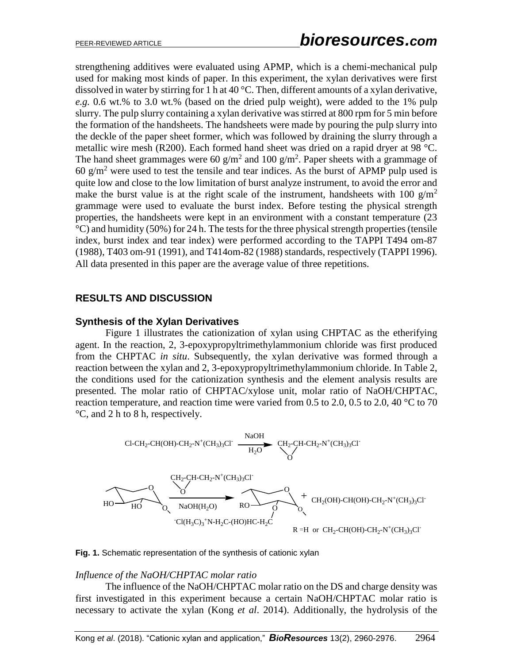strengthening additives were evaluated using APMP, which is a chemi-mechanical pulp used for making most kinds of paper. In this experiment, the xylan derivatives were first dissolved in water by stirring for 1 h at 40 °C. Then, different amounts of a xylan derivative, *e.g.* 0.6 wt.% to 3.0 wt.% (based on the dried pulp weight), were added to the 1% pulp slurry. The pulp slurry containing a xylan derivative was stirred at 800 rpm for 5 min before the formation of the handsheets. The handsheets were made by pouring the pulp slurry into the deckle of the paper sheet former, which was followed by draining the slurry through a metallic wire mesh (R200). Each formed hand sheet was dried on a rapid dryer at 98 °C. The hand sheet grammages were 60  $g/m^2$  and 100  $g/m^2$ . Paper sheets with a grammage of 60  $g/m^2$  were used to test the tensile and tear indices. As the burst of APMP pulp used is quite low and close to the low limitation of burst analyze instrument, to avoid the error and make the burst value is at the right scale of the instrument, handsheets with 100  $g/m<sup>2</sup>$ grammage were used to evaluate the burst index. Before testing the physical strength properties, the handsheets were kept in an environment with a constant temperature (23  $\rm{°C}$ ) and humidity (50%) for 24 h. The tests for the three physical strength properties (tensile index, burst index and tear index) were performed according to the TAPPI T494 om-87 (1988), T403 om-91 (1991), and T414om-82 (1988) standards, respectively (TAPPI 1996). All data presented in this paper are the average value of three repetitions.

## **RESULTS AND DISCUSSION**

#### **Synthesis of the Xylan Derivatives**

Figure 1 illustrates the cationization of xylan using CHPTAC as the etherifying agent. In the reaction, 2, 3-epoxypropyltrimethylammonium chloride was first produced from the CHPTAC *in situ*. Subsequently, the xylan derivative was formed through a reaction between the xylan and 2, 3-epoxypropyltrimethylammonium chloride. In Table 2, the conditions used for the cationization synthesis and the element analysis results are presented. The molar ratio of CHPTAC/xylose unit, molar ratio of NaOH/CHPTAC, reaction temperature, and reaction time were varied from 0.5 to 2.0, 0.5 to 2.0, 40  $^{\circ}$ C to 70 °C, and 2 h to 8 h, respectively.





#### *Influence of the NaOH/CHPTAC molar ratio*

The influence of the NaOH/CHPTAC molar ratio on the DS and charge density was first investigated in this experiment because a certain NaOH/CHPTAC molar ratio is necessary to activate the xylan (Kong *et al*. 2014). Additionally, the hydrolysis of the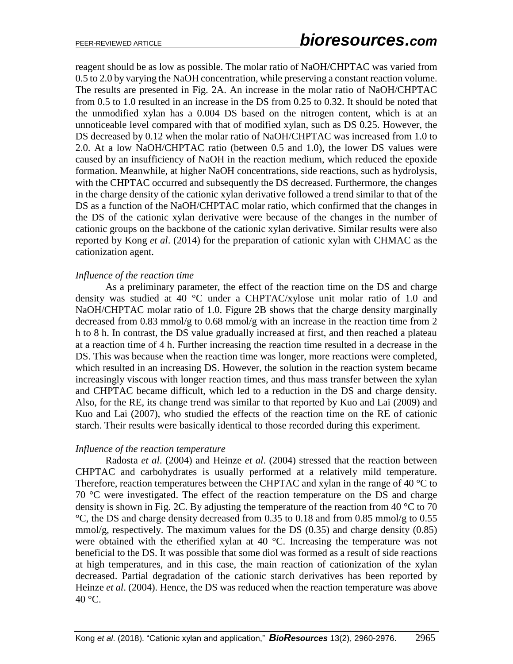reagent should be as low as possible. The molar ratio of NaOH/CHPTAC was varied from 0.5 to 2.0 by varying the NaOH concentration, while preserving a constant reaction volume. The results are presented in Fig. 2A. An increase in the molar ratio of NaOH/CHPTAC from 0.5 to 1.0 resulted in an increase in the DS from 0.25 to 0.32. It should be noted that the unmodified xylan has a 0.004 DS based on the nitrogen content, which is at an unnoticeable level compared with that of modified xylan, such as DS 0.25. However, the DS decreased by 0.12 when the molar ratio of NaOH/CHPTAC was increased from 1.0 to 2.0. At a low NaOH/CHPTAC ratio (between 0.5 and 1.0), the lower DS values were caused by an insufficiency of NaOH in the reaction medium, which reduced the epoxide formation. Meanwhile, at higher NaOH concentrations, side reactions, such as hydrolysis, with the CHPTAC occurred and subsequently the DS decreased. Furthermore, the changes in the charge density of the cationic xylan derivative followed a trend similar to that of the DS as a function of the NaOH/CHPTAC molar ratio, which confirmed that the changes in the DS of the cationic xylan derivative were because of the changes in the number of cationic groups on the backbone of the cationic xylan derivative. Similar results were also reported by Kong *et al*. (2014) for the preparation of cationic xylan with CHMAC as the cationization agent.

#### *Influence of the reaction time*

As a preliminary parameter, the effect of the reaction time on the DS and charge density was studied at 40 °C under a CHPTAC/xylose unit molar ratio of 1.0 and NaOH/CHPTAC molar ratio of 1.0. Figure 2B shows that the charge density marginally decreased from 0.83 mmol/g to 0.68 mmol/g with an increase in the reaction time from 2 h to 8 h. In contrast, the DS value gradually increased at first, and then reached a plateau at a reaction time of 4 h. Further increasing the reaction time resulted in a decrease in the DS. This was because when the reaction time was longer, more reactions were completed, which resulted in an increasing DS. However, the solution in the reaction system became increasingly viscous with longer reaction times, and thus mass transfer between the xylan and CHPTAC became difficult, which led to a reduction in the DS and charge density. Also, for the RE, its change trend was similar to that reported by Kuo and Lai (2009) and Kuo and Lai (2007), who studied the effects of the reaction time on the RE of cationic starch. Their results were basically identical to those recorded during this experiment.

#### *Influence of the reaction temperature*

Radosta *et al*. (2004) and Heinze *et al*. (2004) stressed that the reaction between CHPTAC and carbohydrates is usually performed at a relatively mild temperature. Therefore, reaction temperatures between the CHPTAC and xylan in the range of 40  $\degree$ C to 70 °C were investigated. The effect of the reaction temperature on the DS and charge density is shown in Fig. 2C. By adjusting the temperature of the reaction from 40  $\degree$ C to 70 °C, the DS and charge density decreased from 0.35 to 0.18 and from 0.85 mmol/g to 0.55 mmol/g, respectively. The maximum values for the DS  $(0.35)$  and charge density  $(0.85)$ were obtained with the etherified xylan at 40 °C. Increasing the temperature was not beneficial to the DS. It was possible that some diol was formed as a result of side reactions at high temperatures, and in this case, the main reaction of cationization of the xylan decreased. Partial degradation of the cationic starch derivatives has been reported by Heinze *et al*. (2004). Hence, the DS was reduced when the reaction temperature was above  $40^{\circ}$ C.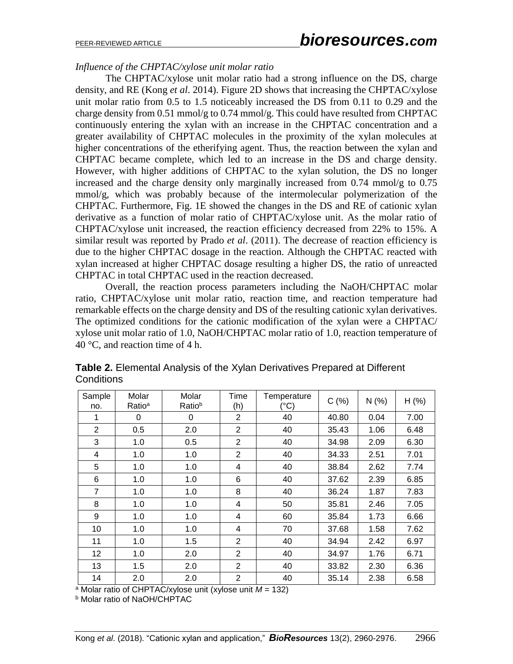### *Influence of the CHPTAC/xylose unit molar ratio*

The CHPTAC/xylose unit molar ratio had a strong influence on the DS, charge density, and RE (Kong *et al*. 2014). Figure 2D shows that increasing the CHPTAC/xylose unit molar ratio from 0.5 to 1.5 noticeably increased the DS from 0.11 to 0.29 and the charge density from 0.51 mmol/g to 0.74 mmol/g. This could have resulted from CHPTAC continuously entering the xylan with an increase in the CHPTAC concentration and a greater availability of CHPTAC molecules in the proximity of the xylan molecules at higher concentrations of the etherifying agent. Thus, the reaction between the xylan and CHPTAC became complete, which led to an increase in the DS and charge density. However, with higher additions of CHPTAC to the xylan solution, the DS no longer increased and the charge density only marginally increased from 0.74 mmol/g to 0.75 mmol/g, which was probably because of the intermolecular polymerization of the CHPTAC. Furthermore, Fig. 1E showed the changes in the DS and RE of cationic xylan derivative as a function of molar ratio of CHPTAC/xylose unit. As the molar ratio of CHPTAC/xylose unit increased, the reaction efficiency decreased from 22% to 15%. A similar result was reported by Prado *et al*. (2011). The decrease of reaction efficiency is due to the higher CHPTAC dosage in the reaction. Although the CHPTAC reacted with xylan increased at higher CHPTAC dosage resulting a higher DS, the ratio of unreacted CHPTAC in total CHPTAC used in the reaction decreased.

Overall, the reaction process parameters including the NaOH/CHPTAC molar ratio, CHPTAC/xylose unit molar ratio, reaction time, and reaction temperature had remarkable effects on the charge density and DS of the resulting cationic xylan derivatives. The optimized conditions for the cationic modification of the xylan were a CHPTAC/ xylose unit molar ratio of 1.0, NaOH/CHPTAC molar ratio of 1.0, reaction temperature of 40 °C, and reaction time of 4 h.

| Sample<br>no.  | Molar<br>Ratio <sup>a</sup> | Molar<br>Ratiob | Time<br>(h)    | Temperature<br>(°C) | C(%)  | N(% ) | $H$ (%) |
|----------------|-----------------------------|-----------------|----------------|---------------------|-------|-------|---------|
| 1              | 0                           | 0               | $\overline{2}$ | 40                  | 40.80 | 0.04  | 7.00    |
| $\overline{2}$ | 0.5                         | 2.0             | $\overline{2}$ | 40                  | 35.43 | 1.06  | 6.48    |
| 3              | 1.0                         | 0.5             | $\overline{2}$ | 40                  | 34.98 | 2.09  | 6.30    |
| 4              | 1.0                         | 1.0             | $\overline{2}$ | 40                  | 34.33 | 2.51  | 7.01    |
| 5              | 1.0                         | 1.0             | 4              | 40                  | 38.84 | 2.62  | 7.74    |
| 6              | 1.0                         | 1.0             | 6              | 40                  | 37.62 | 2.39  | 6.85    |
| 7              | 1.0                         | 1.0             | 8              | 40                  | 36.24 | 1.87  | 7.83    |
| 8              | 1.0                         | 1.0             | 4              | 50                  | 35.81 | 2.46  | 7.05    |
| 9              | 1.0                         | 1.0             | 4              | 60                  | 35.84 | 1.73  | 6.66    |
| 10             | 1.0                         | 1.0             | 4              | 70                  | 37.68 | 1.58  | 7.62    |
| 11             | 1.0                         | 1.5             | 2              | 40                  | 34.94 | 2.42  | 6.97    |
| 12             | 1.0                         | 2.0             | $\overline{2}$ | 40                  | 34.97 | 1.76  | 6.71    |
| 13             | 1.5                         | 2.0             | $\overline{2}$ | 40                  | 33.82 | 2.30  | 6.36    |
| 14             | 2.0                         | 2.0             | 2              | 40                  | 35.14 | 2.38  | 6.58    |

**Table 2.** Elemental Analysis of the Xylan Derivatives Prepared at Different **Conditions** 

<sup>a</sup> Molar ratio of CHPTAC/xylose unit (xylose unit *M* = 132)

**b** Molar ratio of NaOH/CHPTAC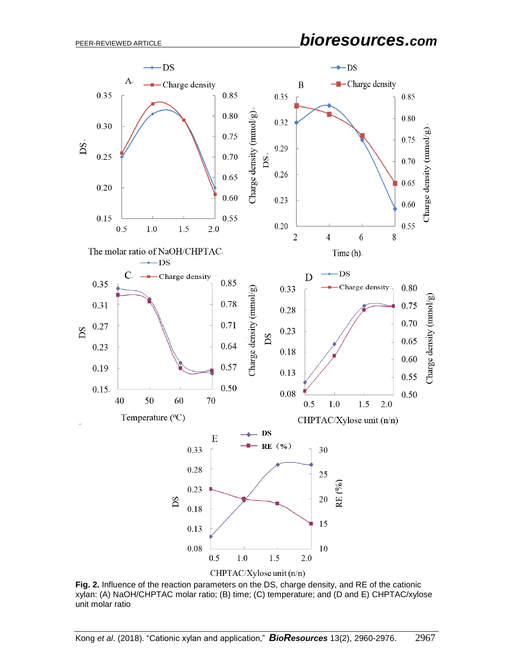# PEER-REVIEWED ARTICLE *bioresources.com*



**Fig. 2.** Influence of the reaction parameters on the DS, charge density, and RE of the cationic xylan: (A) NaOH/CHPTAC molar ratio; (B) time; (C) temperature; and (D and E) CHPTAC/xylose unit molar ratio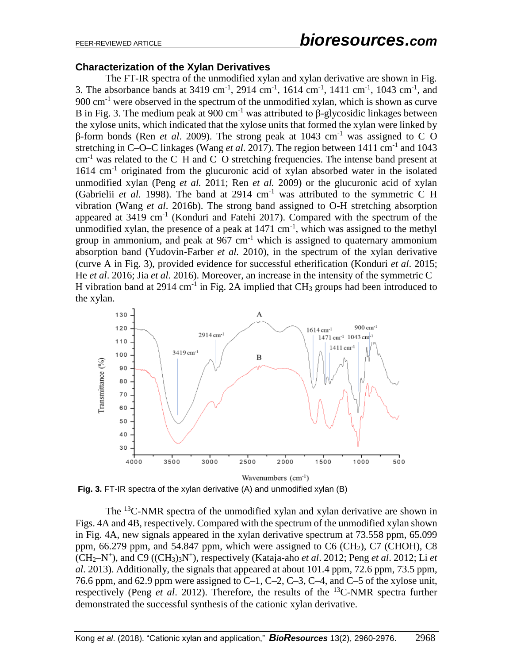# PEER-REVIEWED ARTICLE *bioresources.com*

#### **Characterization of the Xylan Derivatives**

The FT-IR spectra of the unmodified xylan and xylan derivative are shown in Fig. 3. The absorbance bands at 3419 cm<sup>-1</sup>, 2914 cm<sup>-1</sup>, 1614 cm<sup>-1</sup>, 1411 cm<sup>-1</sup>, 1043 cm<sup>-1</sup>, and 900 cm-1 were observed in the spectrum of the unmodified xylan, which is shown as curve B in Fig. 3. The medium peak at  $900 \text{ cm}^{-1}$  was attributed to β-glycosidic linkages between the xylose units, which indicated that the xylose units that formed the xylan were linked by β-form bonds (Ren *et al*. 2009). The strong peak at 1043 cm-1 was assigned to C–O stretching in C-O-C linkages (Wang *et al.* 2017). The region between 1411 cm<sup>-1</sup> and 1043 cm-1 was related to the C–H and C–O stretching frequencies. The intense band present at 1614 cm<sup>-1</sup> originated from the glucuronic acid of xylan absorbed water in the isolated unmodified xylan (Peng *et al.* 2011; Ren *et al.* 2009) or the glucuronic acid of xylan (Gabrielii *et al.* 1998). The band at  $2914 \text{ cm}^{-1}$  was attributed to the symmetric C-H vibration (Wang *et al*. 2016b). The strong band assigned to O-H stretching absorption appeared at  $3419 \text{ cm}^{-1}$  (Konduri and Fatehi 2017). Compared with the spectrum of the unmodified xylan, the presence of a peak at  $1471 \text{ cm}^{-1}$ , which was assigned to the methyl group in ammonium, and peak at  $967 \text{ cm}^{-1}$  which is assigned to quaternary ammonium absorption band (Yudovin-Farber *et al.* 2010), in the spectrum of the xylan derivative (curve A in Fig. 3), provided evidence for successful etherification (Konduri *et al*. 2015; He *et al*. 2016; Jia *et al*. 2016). Moreover, an increase in the intensity of the symmetric C– H vibration band at  $2914 \text{ cm}^{-1}$  in Fig. 2A implied that CH<sub>3</sub> groups had been introduced to the xylan.



**Fig. 3.** FT-IR spectra of the xylan derivative (A) and unmodified xylan (B)

The  $^{13}$ C-NMR spectra of the unmodified xylan and xylan derivative are shown in Figs. 4A and 4B, respectively. Compared with the spectrum of the unmodified xylan shown in Fig. 4A, new signals appeared in the xylan derivative spectrum at 73.558 ppm, 65.099 ppm,  $66.279$  ppm, and  $54.847$  ppm, which were assigned to  $C6$  (CH<sub>2</sub>), C<sub>7</sub> (CHOH), C<sub>8</sub>  $(CH_2-N^+),$  and C9  $((CH_3)_3N^+),$  respectively (Kataja-aho *et al.* 2012; Peng *et al.* 2012; Li *et al*. 2013). Additionally, the signals that appeared at about 101.4 ppm, 72.6 ppm, 73.5 ppm, 76.6 ppm, and 62.9 ppm were assigned to C-1, C-2, C-3, C-4, and C-5 of the xylose unit, respectively (Peng *et al*. 2012). Therefore, the results of the <sup>13</sup>C-NMR spectra further demonstrated the successful synthesis of the cationic xylan derivative.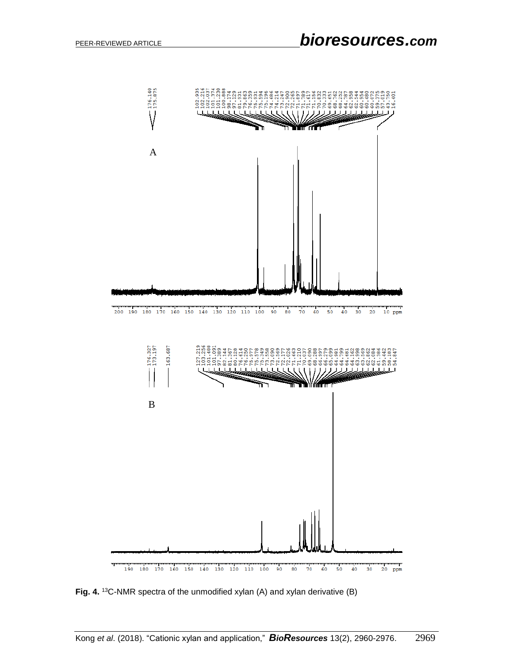

**Fig. 4.** <sup>13</sup>C-NMR spectra of the unmodified xylan (A) and xylan derivative (B)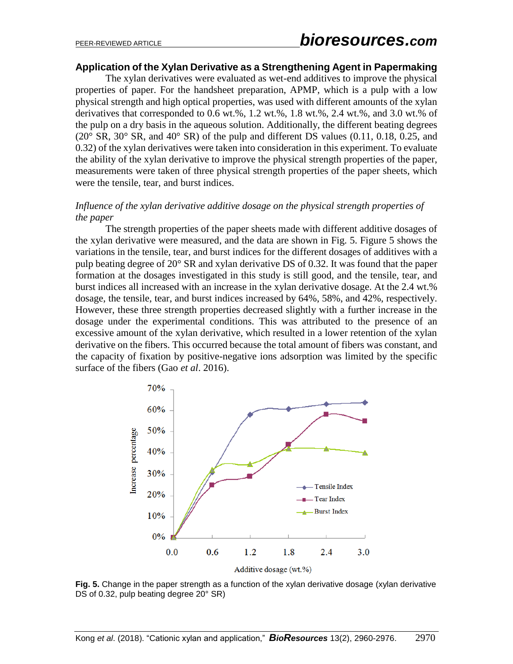#### **Application of the Xylan Derivative as a Strengthening Agent in Papermaking**

The xylan derivatives were evaluated as wet-end additives to improve the physical properties of paper. For the handsheet preparation, APMP, which is a pulp with a low physical strength and high optical properties, was used with different amounts of the xylan derivatives that corresponded to 0.6 wt.%, 1.2 wt.%, 1.8 wt.%, 2.4 wt.%, and 3.0 wt.% of the pulp on a dry basis in the aqueous solution. Additionally, the different beating degrees  $(20^{\circ}$  SR,  $30^{\circ}$  SR, and  $40^{\circ}$  SR) of the pulp and different DS values  $(0.11, 0.18, 0.25,$  and 0.32) of the xylan derivatives were taken into consideration in this experiment. To evaluate the ability of the xylan derivative to improve the physical strength properties of the paper, measurements were taken of three physical strength properties of the paper sheets, which were the tensile, tear, and burst indices.

#### *Influence of the xylan derivative additive dosage on the physical strength properties of the paper*

The strength properties of the paper sheets made with different additive dosages of the xylan derivative were measured, and the data are shown in Fig. 5. Figure 5 shows the variations in the tensile, tear, and burst indices for the different dosages of additives with a pulp beating degree of 20° SR and xylan derivative DS of 0.32. It was found that the paper formation at the dosages investigated in this study is still good, and the tensile, tear, and burst indices all increased with an increase in the xylan derivative dosage. At the 2.4 wt.% dosage, the tensile, tear, and burst indices increased by 64%, 58%, and 42%, respectively. However, these three strength properties decreased slightly with a further increase in the dosage under the experimental conditions. This was attributed to the presence of an excessive amount of the xylan derivative, which resulted in a lower retention of the xylan derivative on the fibers. This occurred because the total amount of fibers was constant, and the capacity of fixation by positive-negative ions adsorption was limited by the specific surface of the fibers (Gao *et al*. 2016).



**Fig. 5.** Change in the paper strength as a function of the xylan derivative dosage (xylan derivative DS of 0.32, pulp beating degree 20° SR)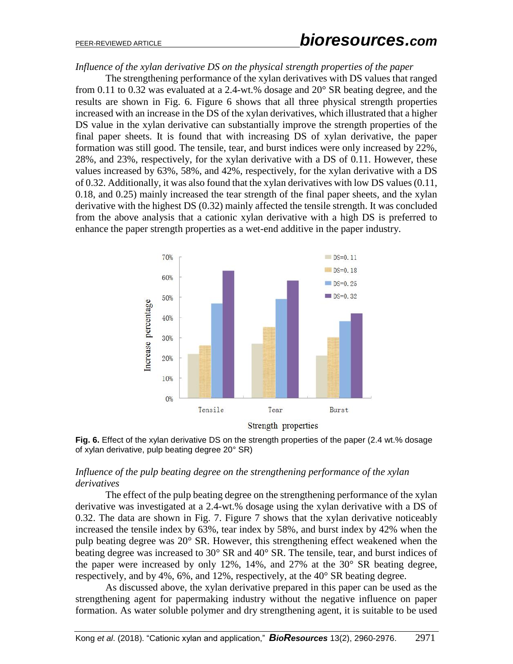# PEER-REVIEWED ARTICLE *bioresources.com*

*Influence of the xylan derivative DS on the physical strength properties of the paper*

The strengthening performance of the xylan derivatives with DS values that ranged from 0.11 to 0.32 was evaluated at a 2.4-wt.% dosage and 20° SR beating degree, and the results are shown in Fig. 6. Figure 6 shows that all three physical strength properties increased with an increase in the DS of the xylan derivatives, which illustrated that a higher DS value in the xylan derivative can substantially improve the strength properties of the final paper sheets. It is found that with increasing DS of xylan derivative, the paper formation was still good. The tensile, tear, and burst indices were only increased by 22%, 28%, and 23%, respectively, for the xylan derivative with a DS of 0.11. However, these values increased by 63%, 58%, and 42%, respectively, for the xylan derivative with a DS of 0.32. Additionally, it was also found that the xylan derivatives with low DS values (0.11, 0.18, and 0.25) mainly increased the tear strength of the final paper sheets, and the xylan derivative with the highest DS (0.32) mainly affected the tensile strength. It was concluded from the above analysis that a cationic xylan derivative with a high DS is preferred to enhance the paper strength properties as a wet-end additive in the paper industry.





## *Influence of the pulp beating degree on the strengthening performance of the xylan derivatives*

The effect of the pulp beating degree on the strengthening performance of the xylan derivative was investigated at a 2.4-wt.% dosage using the xylan derivative with a DS of 0.32. The data are shown in Fig. 7. Figure 7 shows that the xylan derivative noticeably increased the tensile index by 63%, tear index by 58%, and burst index by 42% when the pulp beating degree was 20° SR. However, this strengthening effect weakened when the beating degree was increased to 30° SR and 40° SR. The tensile, tear, and burst indices of the paper were increased by only 12%, 14%, and 27% at the 30° SR beating degree, respectively, and by 4%, 6%, and 12%, respectively, at the 40° SR beating degree.

As discussed above, the xylan derivative prepared in this paper can be used as the strengthening agent for papermaking industry without the negative influence on paper formation. As water soluble polymer and dry strengthening agent, it is suitable to be used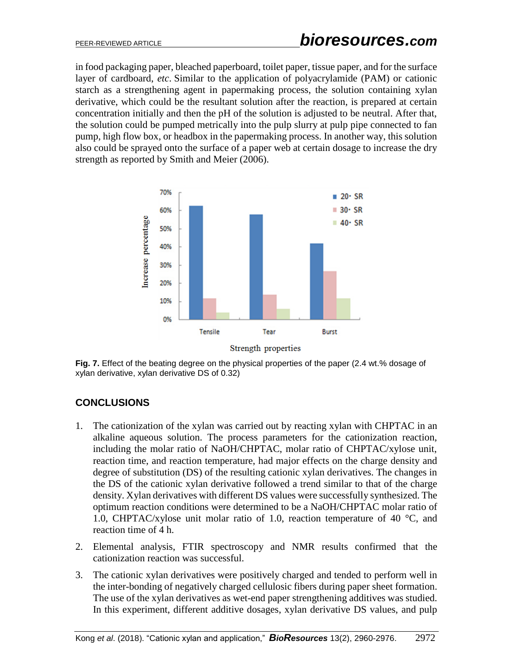in food packaging paper, bleached paperboard, toilet paper, tissue paper, and for the surface layer of cardboard, *etc*. Similar to the application of polyacrylamide (PAM) or cationic starch as a strengthening agent in papermaking process, the solution containing xylan derivative, which could be the resultant solution after the reaction, is prepared at certain concentration initially and then the pH of the solution is adjusted to be neutral. After that, the solution could be pumped metrically into the pulp slurry at pulp pipe connected to fan pump, high flow box, or headbox in the papermaking process. In another way, this solution also could be sprayed onto the surface of a paper web at certain dosage to increase the dry strength as reported by Smith and Meier (2006).



Fig. 7. Effect of the beating degree on the physical properties of the paper (2.4 wt.% dosage of xylan derivative, xylan derivative DS of 0.32)

# **CONCLUSIONS**

- 1. The cationization of the xylan was carried out by reacting xylan with CHPTAC in an alkaline aqueous solution. The process parameters for the cationization reaction, including the molar ratio of NaOH/CHPTAC, molar ratio of CHPTAC/xylose unit, reaction time, and reaction temperature, had major effects on the charge density and degree of substitution (DS) of the resulting cationic xylan derivatives. The changes in the DS of the cationic xylan derivative followed a trend similar to that of the charge density. Xylan derivatives with different DS values were successfully synthesized. The optimum reaction conditions were determined to be a NaOH/CHPTAC molar ratio of 1.0, CHPTAC/xylose unit molar ratio of 1.0, reaction temperature of 40 °C, and reaction time of 4 h.
- 2. Elemental analysis, FTIR spectroscopy and NMR results confirmed that the cationization reaction was successful.
- 3. The cationic xylan derivatives were positively charged and tended to perform well in the inter-bonding of negatively charged cellulosic fibers during paper sheet formation. The use of the xylan derivatives as wet-end paper strengthening additives was studied. In this experiment, different additive dosages, xylan derivative DS values, and pulp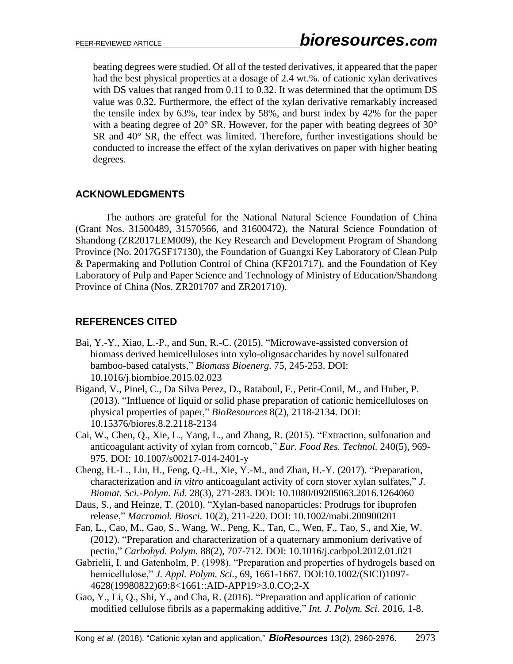beating degrees were studied. Of all of the tested derivatives, it appeared that the paper had the best physical properties at a dosage of 2.4 wt.%. of cationic xylan derivatives with DS values that ranged from 0.11 to 0.32. It was determined that the optimum DS value was 0.32. Furthermore, the effect of the xylan derivative remarkably increased the tensile index by 63%, tear index by 58%, and burst index by 42% for the paper with a beating degree of 20° SR. However, for the paper with beating degrees of 30° SR and 40° SR, the effect was limited. Therefore, further investigations should be conducted to increase the effect of the xylan derivatives on paper with higher beating degrees.

# **ACKNOWLEDGMENTS**

The authors are grateful for the National Natural Science Foundation of China (Grant Nos. 31500489, 31570566, and 31600472), the Natural Science Foundation of Shandong (ZR2017LEM009), the Key Research and Development Program of Shandong Province (No. 2017GSF17130), the Foundation of Guangxi Key Laboratory of Clean Pulp & Papermaking and Pollution Control of China (KF201717), and the Foundation of Key Laboratory of Pulp and Paper Science and Technology of Ministry of Education/Shandong Province of China (Nos. ZR201707 and ZR201710).

# **REFERENCES CITED**

- Bai, Y.-Y., Xiao, L.-P., and Sun, R.-C. (2015). "Microwave-assisted conversion of biomass derived hemicelluloses into xylo-oligosaccharides by novel sulfonated bamboo-based catalysts," *Biomass Bioenerg.* 75, 245-253. DOI: 10.1016/j.biombioe.2015.02.023
- Bigand, V., Pinel, C., Da Silva Perez, D., Rataboul, F., Petit-Conil, M., and Huber, P. (2013). "Influence of liquid or solid phase preparation of cationic hemicelluloses on physical properties of paper," *BioResources* 8(2), 2118-2134. DOI: 10.15376/biores.8.2.2118-2134
- Cai, W., Chen, Q., Xie, L., Yang, L., and Zhang, R. (2015). "Extraction, sulfonation and anticoagulant activity of xylan from corncob," *Eur. Food Res. Technol.* 240(5), 969- 975. DOI: 10.1007/s00217-014-2401-y
- Cheng, H.-L., Liu, H., Feng, Q.-H., Xie, Y.-M., and Zhan, H.-Y. (2017). "Preparation, characterization and *in vitro* anticoagulant activity of corn stover xylan sulfates," *J. Biomat. Sci.-Polym. Ed.* 28(3), 271-283. DOI: 10.1080/09205063.2016.1264060
- Daus, S., and Heinze, T. (2010). "Xylan-based nanoparticles: Prodrugs for ibuprofen release," *Macromol. Biosci.* 10(2), 211-220. DOI: 10.1002/mabi.200900201
- Fan, L., Cao, M., Gao, S., Wang, W., Peng, K., Tan, C., Wen, F., Tao, S., and Xie, W. (2012). "Preparation and characterization of a quaternary ammonium derivative of pectin," *Carbohyd. Polym.* 88(2), 707-712. DOI: 10.1016/j.carbpol.2012.01.021
- Gabrielii, I. and Gatenholm, P. (1998). "Preparation and properties of hydrogels based on hemicellulose," *J. Appl. Polym. Sci.*, 69, 1661-1667. DOI:10.1002/(SICI)1097- 4628(19980822)69:8<1661::AID-APP19>3.0.CO;2-X
- Gao, Y., Li, Q., Shi, Y., and Cha, R. (2016). "Preparation and application of cationic modified cellulose fibrils as a papermaking additive," *Int. J. Polym. Sci.* 2016, 1-8.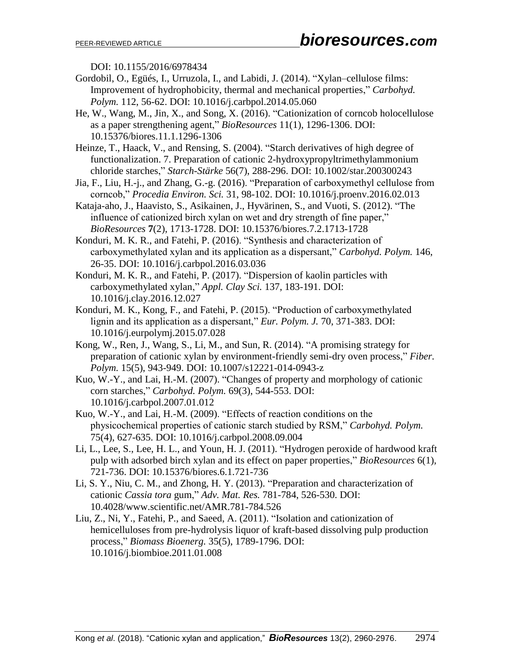DOI: 10.1155/2016/6978434

- Gordobil, O., Egüés, I., Urruzola, I., and Labidi, J. (2014). "Xylan–cellulose films: Improvement of hydrophobicity, thermal and mechanical properties," *Carbohyd. Polym.* 112, 56-62. DOI: 10.1016/j.carbpol.2014.05.060
- He, W., Wang, M., Jin, X., and Song, X. (2016). "Cationization of corncob holocellulose as a paper strengthening agent," *BioResources* 11(1), 1296-1306. DOI: 10.15376/biores.11.1.1296-1306
- Heinze, T., Haack, V., and Rensing, S. (2004). "Starch derivatives of high degree of functionalization. 7. Preparation of cationic 2-hydroxypropyltrimethylammonium chloride starches," *Starch-Stärke* 56(7), 288-296. DOI: 10.1002/star.200300243
- Jia, F., Liu, H.-j., and Zhang, G.-g. (2016). "Preparation of carboxymethyl cellulose from corncob," *Procedia Environ. Sci.* 31, 98-102. DOI: 10.1016/j.proenv.2016.02.013
- Kataja-aho, J., Haavisto, S., Asikainen, J., Hyvärinen, S., and Vuoti, S. (2012). "The influence of cationized birch xylan on wet and dry strength of fine paper," *BioResources* **7**(2), 1713-1728. DOI: 10.15376/biores.7.2.1713-1728
- Konduri, M. K. R., and Fatehi, P. (2016). "Synthesis and characterization of carboxymethylated xylan and its application as a dispersant," *Carbohyd. Polym.* 146, 26-35. DOI: 10.1016/j.carbpol.2016.03.036
- Konduri, M. K. R., and Fatehi, P. (2017). "Dispersion of kaolin particles with carboxymethylated xylan," *Appl. Clay Sci.* 137, 183-191. DOI: 10.1016/j.clay.2016.12.027
- Konduri, M. K., Kong, F., and Fatehi, P. (2015). "Production of carboxymethylated lignin and its application as a dispersant," *Eur. Polym. J.* 70, 371-383. DOI: 10.1016/j.eurpolymj.2015.07.028
- Kong, W., Ren, J., Wang, S., Li, M., and Sun, R. (2014). "A promising strategy for preparation of cationic xylan by environment-friendly semi-dry oven process," *Fiber. Polym.* 15(5), 943-949. DOI: 10.1007/s12221-014-0943-z
- Kuo, W.-Y., and Lai, H.-M. (2007). "Changes of property and morphology of cationic corn starches," *Carbohyd. Polym.* 69(3), 544-553. DOI: 10.1016/j.carbpol.2007.01.012
- Kuo, W.-Y., and Lai, H.-M. (2009). "Effects of reaction conditions on the physicochemical properties of cationic starch studied by RSM," *Carbohyd. Polym.* 75(4), 627-635. DOI: 10.1016/j.carbpol.2008.09.004
- Li, L., Lee, S., Lee, H. L., and Youn, H. J. (2011). "Hydrogen peroxide of hardwood kraft pulp with adsorbed birch xylan and its effect on paper properties," *BioResources* 6(1), 721-736. DOI: 10.15376/biores.6.1.721-736
- Li, S. Y., Niu, C. M., and Zhong, H. Y. (2013). "Preparation and characterization of cationic *Cassia tora* gum," *Adv. Mat. Res.* 781-784, 526-530. DOI: 10.4028/www.scientific.net/AMR.781-784.526
- Liu, Z., Ni, Y., Fatehi, P., and Saeed, A. (2011). "Isolation and cationization of hemicelluloses from pre-hydrolysis liquor of kraft-based dissolving pulp production process," *Biomass Bioenerg.* 35(5), 1789-1796. DOI: 10.1016/j.biombioe.2011.01.008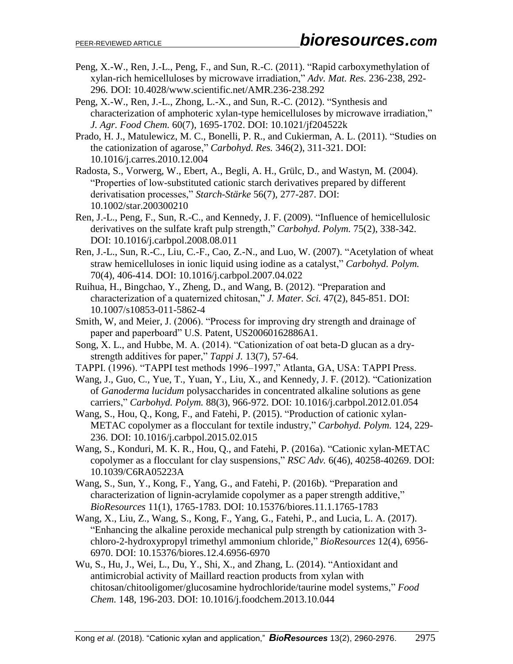- Peng, X.-W., Ren, J.-L., Peng, F., and Sun, R.-C. (2011). "Rapid carboxymethylation of xylan-rich hemicelluloses by microwave irradiation," *Adv. Mat. Res.* 236-238, 292- 296. DOI: 10.4028/www.scientific.net/AMR.236-238.292
- Peng, X.-W., Ren, J.-L., Zhong, L.-X., and Sun, R.-C. (2012). "Synthesis and characterization of amphoteric xylan-type hemicelluloses by microwave irradiation," *J. Agr. Food Chem.* 60(7), 1695-1702. DOI: 10.1021/jf204522k
- Prado, H. J., Matulewicz, M. C., Bonelli, P. R., and Cukierman, A. L. (2011). "Studies on the cationization of agarose," *Carbohyd. Res.* 346(2), 311-321. DOI: 10.1016/j.carres.2010.12.004
- Radosta, S., Vorwerg, W., Ebert, A., Begli, A. H., Grülc, D., and Wastyn, M. (2004). "Properties of low-substituted cationic starch derivatives prepared by different derivatisation processes," *Starch-Stärke* 56(7), 277-287. DOI: 10.1002/star.200300210
- Ren, J.-L., Peng, F., Sun, R.-C., and Kennedy, J. F. (2009). "Influence of hemicellulosic derivatives on the sulfate kraft pulp strength," *Carbohyd. Polym.* 75(2), 338-342. DOI: 10.1016/j.carbpol.2008.08.011
- Ren, J.-L., Sun, R.-C., Liu, C.-F., Cao, Z.-N., and Luo, W. (2007). "Acetylation of wheat straw hemicelluloses in ionic liquid using iodine as a catalyst," *Carbohyd. Polym.* 70(4), 406-414. DOI: 10.1016/j.carbpol.2007.04.022
- Ruihua, H., Bingchao, Y., Zheng, D., and Wang, B. (2012). "Preparation and characterization of a quaternized chitosan," *J. Mater. Sci.* 47(2), 845-851. DOI: 10.1007/s10853-011-5862-4
- Smith, W, and Meier, J. (2006). "Process for improving dry strength and drainage of paper and paperboard" U.S. Patent, US20060162886A1.
- Song, X. L., and Hubbe, M. A. (2014). "Cationization of oat beta-D glucan as a drystrength additives for paper," *Tappi J.* 13(7), 57-64.
- TAPPI. (1996). "TAPPI test methods 1996–1997," Atlanta, GA, USA: TAPPI Press.
- Wang, J., Guo, C., Yue, T., Yuan, Y., Liu, X., and Kennedy, J. F. (2012). "Cationization of *Ganoderma lucidum* polysaccharides in concentrated alkaline solutions as gene carriers," *Carbohyd. Polym.* 88(3), 966-972. DOI: 10.1016/j.carbpol.2012.01.054
- Wang, S., Hou, Q., Kong, F., and Fatehi, P. (2015). "Production of cationic xylan-METAC copolymer as a flocculant for textile industry," *Carbohyd. Polym.* 124, 229- 236. DOI: 10.1016/j.carbpol.2015.02.015
- Wang, S., Konduri, M. K. R., Hou, Q., and Fatehi, P. (2016a). "Cationic xylan-METAC copolymer as a flocculant for clay suspensions," *RSC Adv.* 6(46), 40258-40269. DOI: 10.1039/C6RA05223A
- Wang, S., Sun, Y., Kong, F., Yang, G., and Fatehi, P. (2016b). "Preparation and characterization of lignin-acrylamide copolymer as a paper strength additive," *BioResources* 11(1), 1765-1783. DOI: 10.15376/biores.11.1.1765-1783
- Wang, X., Liu, Z., Wang, S., Kong, F., Yang, G., Fatehi, P., and Lucia, L. A. (2017). "Enhancing the alkaline peroxide mechanical pulp strength by cationization with 3 chloro-2-hydroxypropyl trimethyl ammonium chloride," *BioResources* 12(4), 6956- 6970. DOI: 10.15376/biores.12.4.6956-6970
- Wu, S., Hu, J., Wei, L., Du, Y., Shi, X., and Zhang, L. (2014). "Antioxidant and antimicrobial activity of Maillard reaction products from xylan with chitosan/chitooligomer/glucosamine hydrochloride/taurine model systems," *Food Chem.* 148, 196-203. DOI: 10.1016/j.foodchem.2013.10.044